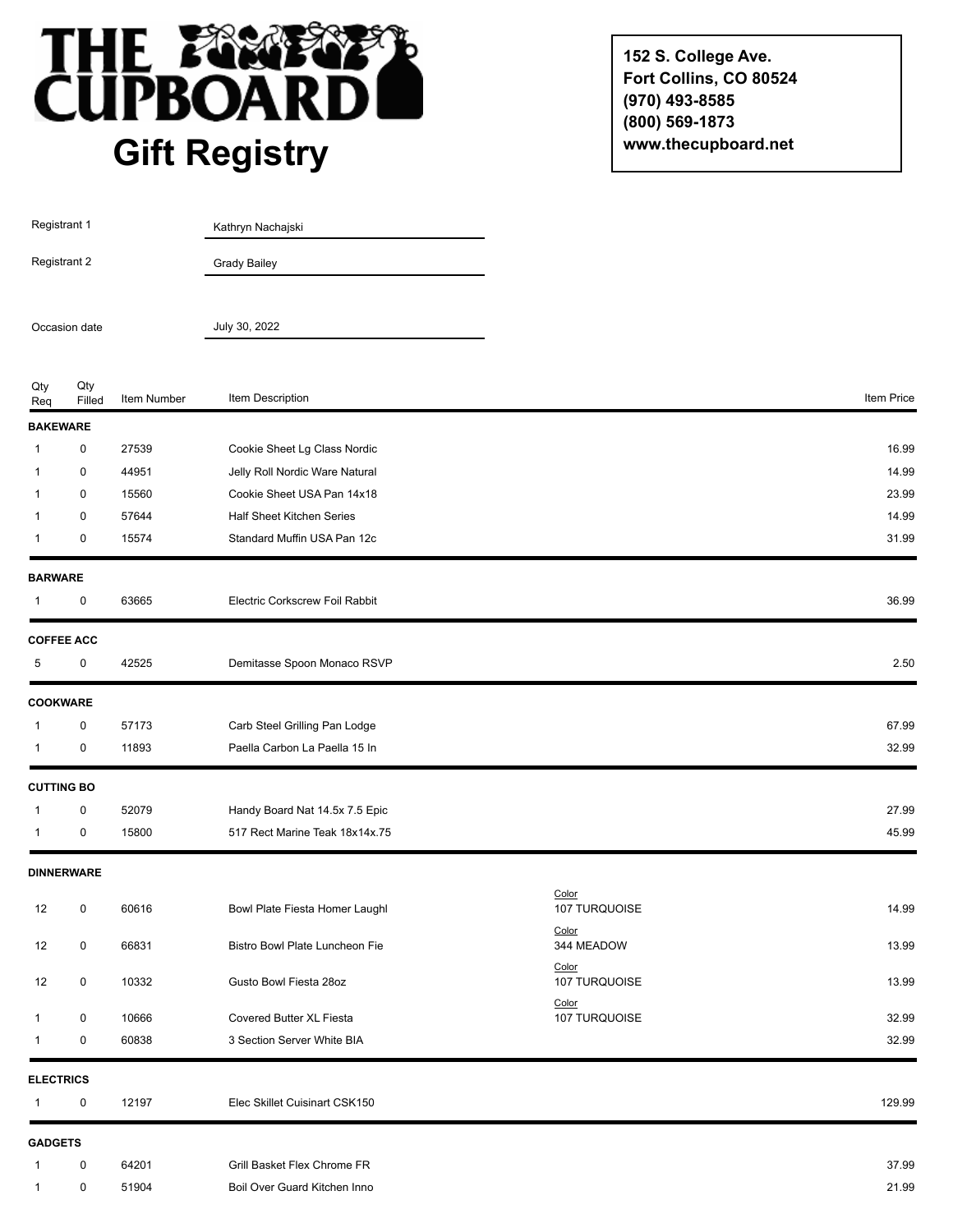

**152 S. College Ave. Fort Collins, CO 80524 (970) 493-8585 (800) 569-1873 www.thecupboard.net**

| Registrant 1<br>Registrant 2 |                   |             | Kathryn Nachajski              |                        |            |
|------------------------------|-------------------|-------------|--------------------------------|------------------------|------------|
|                              |                   |             | <b>Grady Bailey</b>            |                        |            |
|                              | Occasion date     |             | July 30, 2022                  |                        |            |
| Qty<br>Req                   | Qty<br>Filled     | Item Number | Item Description               |                        | Item Price |
| <b>BAKEWARE</b>              |                   |             |                                |                        |            |
| 1                            | 0                 | 27539       | Cookie Sheet Lg Class Nordic   |                        | 16.99      |
| 1                            | $\boldsymbol{0}$  | 44951       | Jelly Roll Nordic Ware Natural |                        | 14.99      |
| $\mathbf{1}$                 | 0                 | 15560       | Cookie Sheet USA Pan 14x18     |                        | 23.99      |
| $\mathbf{1}$                 | 0                 | 57644       | Half Sheet Kitchen Series      |                        | 14.99      |
| 1                            | 0                 | 15574       | Standard Muffin USA Pan 12c    |                        | 31.99      |
| <b>BARWARE</b>               |                   |             |                                |                        |            |
| 1                            | 0                 | 63665       | Electric Corkscrew Foil Rabbit |                        | 36.99      |
|                              | <b>COFFEE ACC</b> |             |                                |                        |            |
| 5                            | 0                 | 42525       | Demitasse Spoon Monaco RSVP    |                        | 2.50       |
| <b>COOKWARE</b>              |                   |             |                                |                        |            |
| 1                            | $\pmb{0}$         | 57173       | Carb Steel Grilling Pan Lodge  |                        | 67.99      |
| 1                            | 0                 | 11893       | Paella Carbon La Paella 15 In  |                        | 32.99      |
| <b>CUTTING BO</b>            |                   |             |                                |                        |            |
| $\mathbf{1}$                 | 0                 | 52079       | Handy Board Nat 14.5x 7.5 Epic |                        | 27.99      |
| $\mathbf{1}$                 | $\pmb{0}$         | 15800       | 517 Rect Marine Teak 18x14x.75 |                        | 45.99      |
|                              | <b>DINNERWARE</b> |             |                                |                        |            |
| 12                           | 0                 | 60616       | Bowl Plate Fiesta Homer Laughl | Color<br>107 TURQUOISE | 14.99      |
| 12                           | $\pmb{0}$         | 66831       | Bistro Bowl Plate Luncheon Fie | Color<br>344 MEADOW    | 13.99      |
| 12                           | 0                 | 10332       | Gusto Bowl Fiesta 28oz         | Color<br>107 TURQUOISE | 13.99      |
| $\mathbf{1}$                 | 0                 | 10666       | Covered Butter XL Fiesta       | Color<br>107 TURQUOISE | 32.99      |
| $\mathbf{1}$                 | 0                 | 60838       | 3 Section Server White BIA     |                        | 32.99      |
| <b>ELECTRICS</b>             |                   |             |                                |                        |            |
| $\mathbf{1}$                 | 0                 | 12197       | Elec Skillet Cuisinart CSK150  |                        | 129.99     |
| <b>GADGETS</b>               |                   |             |                                |                        |            |
| $\mathbf{1}$                 | 0                 | 64201       | Grill Basket Flex Chrome FR    |                        | 37.99      |
| 1                            | $\pmb{0}$         | 51904       | Boil Over Guard Kitchen Inno   |                        | 21.99      |
|                              |                   |             |                                |                        |            |